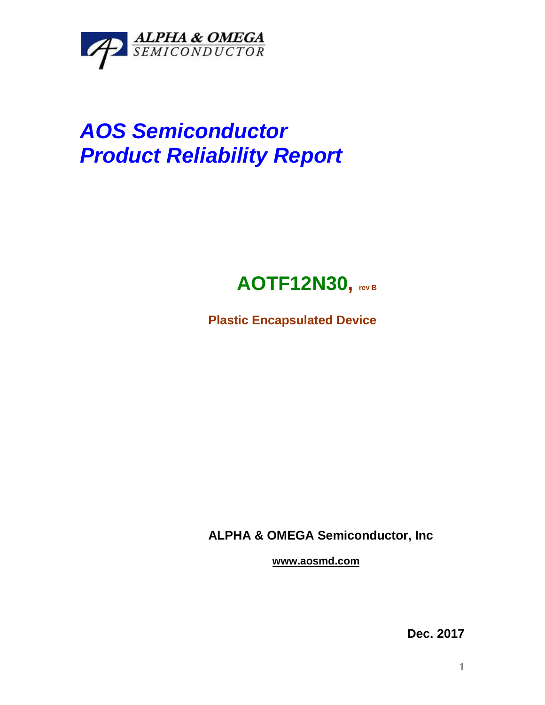

# *AOS Semiconductor Product Reliability Report*

## **AOTF12N30, rev <sup>B</sup>**

**Plastic Encapsulated Device**

**ALPHA & OMEGA Semiconductor, Inc**

**www.aosmd.com**

**Dec. 2017**